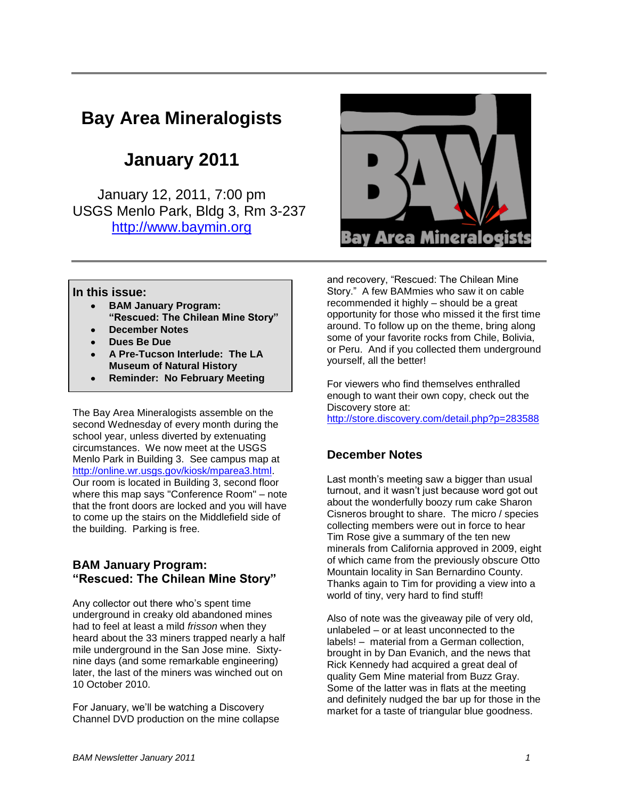# **Bay Area Mineralogists**

# **January 2011**

January 12, 2011, 7:00 pm USGS Menlo Park, Bldg 3, Rm 3-237 [http://www.baymin.org](http://www.baymin.org/)



#### **In this issue:**

- **BAM January Program: "Rescued: The Chilean Mine Story"**
- **December Notes**
- **Dues Be Due**
- **A Pre-Tucson Interlude: The LA Museum of Natural History**
- **Reminder: No February Meeting**

The Bay Area Mineralogists assemble on the second Wednesday of every month during the school year, unless diverted by extenuating circumstances. We now meet at the USGS Menlo Park in Building 3. See campus map at [http://online.wr.usgs.gov/kiosk/mparea3.html.](http://online.wr.usgs.gov/kiosk/mparea3.html) Our room is located in Building 3, second floor where this map says "Conference Room" – note that the front doors are locked and you will have to come up the stairs on the Middlefield side of the building. Parking is free.

### **BAM January Program: "Rescued: The Chilean Mine Story"**

Any collector out there who"s spent time underground in creaky old abandoned mines had to feel at least a mild *frisson* when they heard about the 33 miners trapped nearly a half mile underground in the San Jose mine. Sixtynine days (and some remarkable engineering) later, the last of the miners was winched out on 10 October 2010.

For January, we"ll be watching a Discovery Channel DVD production on the mine collapse and recovery, "Rescued: The Chilean Mine Story." A few BAMmies who saw it on cable recommended it highly – should be a great opportunity for those who missed it the first time around. To follow up on the theme, bring along some of your favorite rocks from Chile, Bolivia, or Peru. And if you collected them underground yourself, all the better!

For viewers who find themselves enthralled enough to want their own copy, check out the Discovery store at:

<http://store.discovery.com/detail.php?p=283588>

### **December Notes**

Last month's meeting saw a bigger than usual turnout, and it wasn"t just because word got out about the wonderfully boozy rum cake Sharon Cisneros brought to share. The micro / species collecting members were out in force to hear Tim Rose give a summary of the ten new minerals from California approved in 2009, eight of which came from the previously obscure Otto Mountain locality in San Bernardino County. Thanks again to Tim for providing a view into a world of tiny, very hard to find stuff!

Also of note was the giveaway pile of very old, unlabeled – or at least unconnected to the labels! – material from a German collection, brought in by Dan Evanich, and the news that Rick Kennedy had acquired a great deal of quality Gem Mine material from Buzz Gray. Some of the latter was in flats at the meeting and definitely nudged the bar up for those in the market for a taste of triangular blue goodness.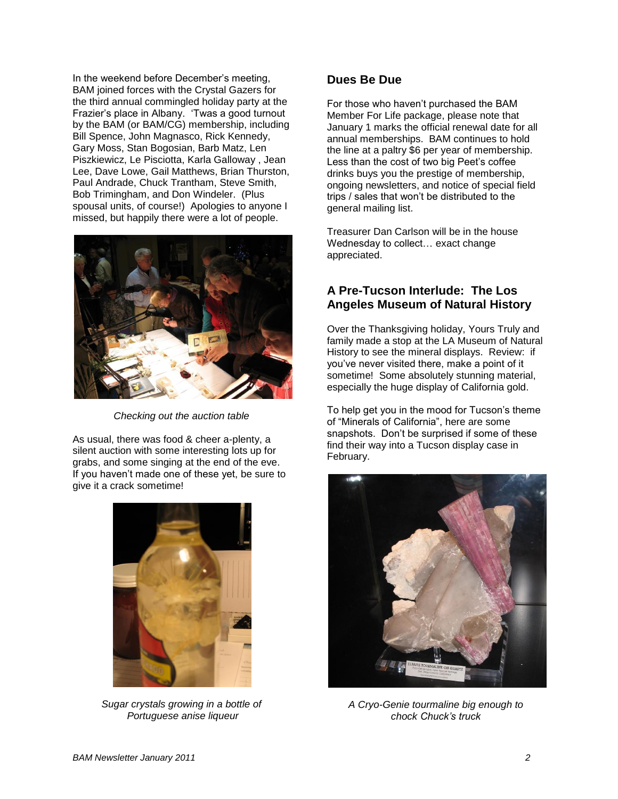In the weekend before December"s meeting, BAM joined forces with the Crystal Gazers for the third annual commingled holiday party at the Frazier"s place in Albany. "Twas a good turnout by the BAM (or BAM/CG) membership, including Bill Spence, John Magnasco, Rick Kennedy, Gary Moss, Stan Bogosian, Barb Matz, Len Piszkiewicz, Le Pisciotta, Karla Galloway , Jean Lee, Dave Lowe, Gail Matthews, Brian Thurston, Paul Andrade, Chuck Trantham, Steve Smith, Bob Trimingham, and Don Windeler. (Plus spousal units, of course!) Apologies to anyone I missed, but happily there were a lot of people.



*Checking out the auction table*

As usual, there was food & cheer a-plenty, a silent auction with some interesting lots up for grabs, and some singing at the end of the eve. If you haven"t made one of these yet, be sure to give it a crack sometime!



*Sugar crystals growing in a bottle of Portuguese anise liqueur*

#### **Dues Be Due**

For those who haven"t purchased the BAM Member For Life package, please note that January 1 marks the official renewal date for all annual memberships. BAM continues to hold the line at a paltry \$6 per year of membership. Less than the cost of two big Peet"s coffee drinks buys you the prestige of membership, ongoing newsletters, and notice of special field trips / sales that won"t be distributed to the general mailing list.

Treasurer Dan Carlson will be in the house Wednesday to collect… exact change appreciated.

## **A Pre-Tucson Interlude: The Los Angeles Museum of Natural History**

Over the Thanksgiving holiday, Yours Truly and family made a stop at the LA Museum of Natural History to see the mineral displays. Review: if you"ve never visited there, make a point of it sometime! Some absolutely stunning material, especially the huge display of California gold.

To help get you in the mood for Tucson"s theme of "Minerals of California", here are some snapshots. Don"t be surprised if some of these find their way into a Tucson display case in February.



*A Cryo-Genie tourmaline big enough to chock Chuck's truck*